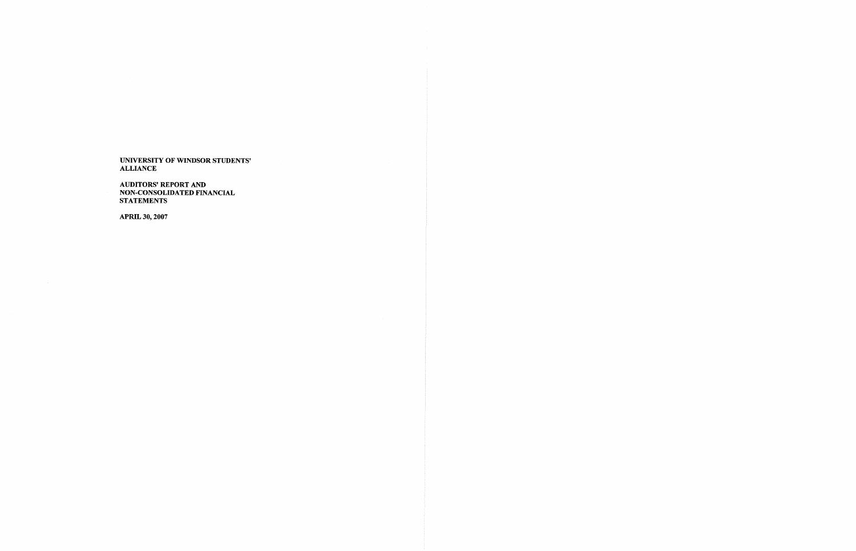AUDITORS' REPORT AND NON-CONSOLIDATED FINANCIAL STATEMENTS

APRIL 30,2007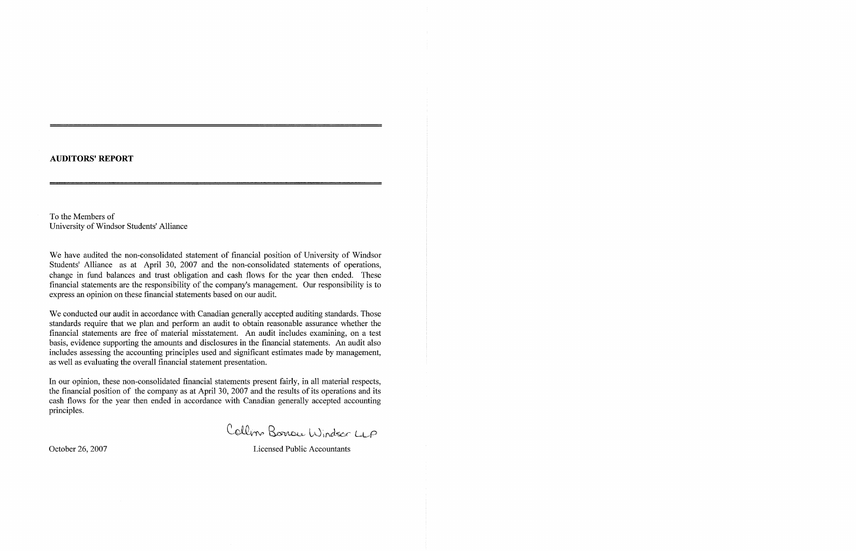## AUDITORS' REPORT

To the Members of University of Windsor Students' Alliance

We have audited the non-consolidated statement of financial position of University of Windsor Students' Alliance as at April 30, 2007 and the non-consolidated statements of operations, change in fund balances and trust obligation and cash flows for the year then ended. These financial statements are the responsibility of the company's management. Our responsibility is to express an opinion on these financial statements based on our audit.

We conducted our audit in accordance with Canadian generally accepted auditing standards. Those standards require that we plan and perform an audit to obtain reasonable assurance whether the financial statements are free of material misstatement. An audit includes examining, on a test basis, evidence supporting the amounts and disclosures in the financial statements. An audit also includes assessing the accounting principles used and significant estimates made by management, as well as evaluating the overall financial statement presentation.

In our opinion, these non-consolidated financial statements present fairly, in all material respects, the financial position of the company as at April 30, 2007 and the results of its operations and its cash flows for the year then ended in accordance with Canadian generally accepted accounting principles.

Collin Borrou Windsor LLP

October 26, 2007 Licensed Public Accountants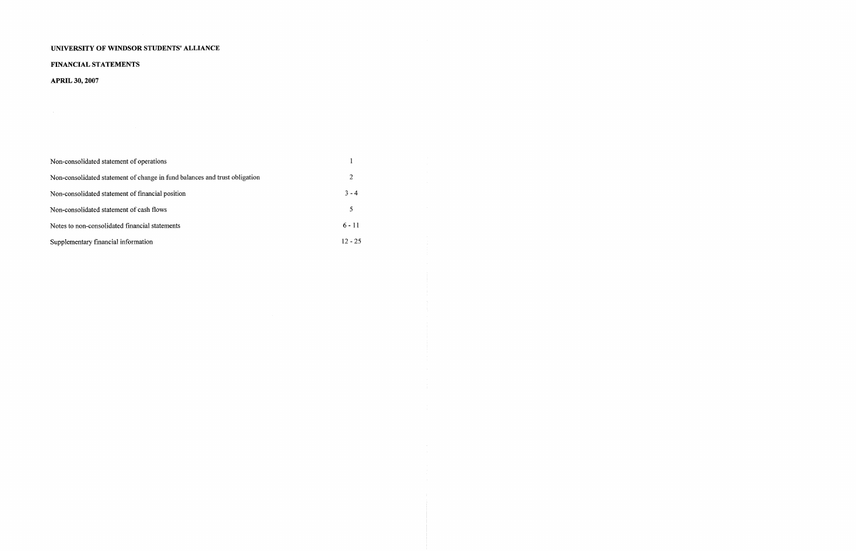# FINANCIAL STATEMENTS

APRIL 30,2007

| Non-consolidated statement of operations                                   |           |
|----------------------------------------------------------------------------|-----------|
| Non-consolidated statement of change in fund balances and trust obligation | 2         |
| Non-consolidated statement of financial position                           | $3 - 4$   |
| Non-consolidated statement of cash flows                                   | 5         |
| Notes to non-consolidated financial statements                             | $6 - 11$  |
| Supplementary financial information                                        | $12 - 25$ |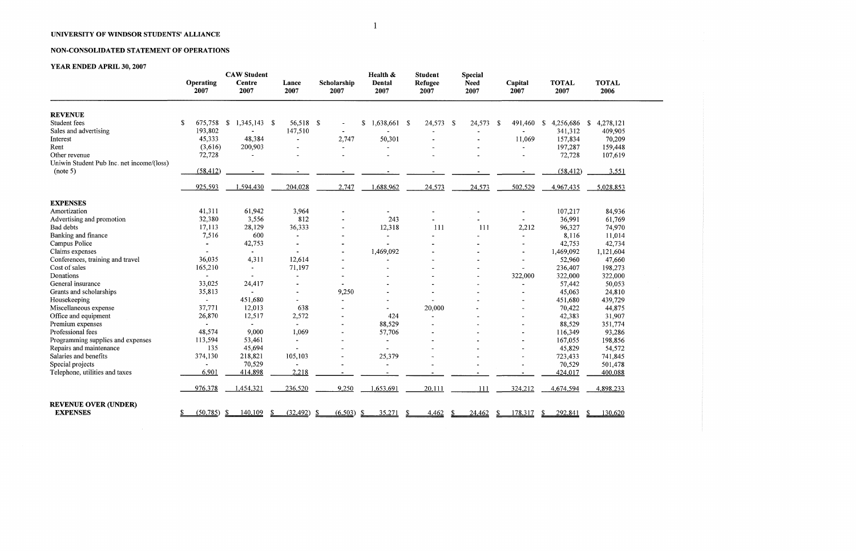## NON-CONSOLIDATED STATEMENT OF OPERATIONS

 $\sim 10^{-1}$ 

|                                                                                | Operating<br>2007           | <b>CAW Student</b><br><b>Centre</b><br>2007 | Lance<br>2007                | Scholarship<br>2007     | Health &<br><b>Dental</b><br>2007 | <b>Student</b><br>Refugee<br>2007 | <b>Special</b><br><b>Need</b><br>2007 | Capital<br>2007          | <b>TOTAL</b><br>2007         | <b>TOTAL</b><br>2006                 |
|--------------------------------------------------------------------------------|-----------------------------|---------------------------------------------|------------------------------|-------------------------|-----------------------------------|-----------------------------------|---------------------------------------|--------------------------|------------------------------|--------------------------------------|
| <b>REVENUE</b><br>Student fees<br>Sales and advertising                        | \$<br>675,758<br>193,802    | $\mathbb{S}$<br>$1,345,143$ \$              | 56,518 \$<br>147,510         | $\blacksquare$          | $\mathbb{S}$<br>1,638,661 \$      | 24,573                            | $\sqrt{3}$<br>24,573 \$               | 491,460                  | \$<br>4,256,686<br>341,312   | 4,278,121<br><sup>S</sup><br>409,905 |
| Interest<br>Rent<br>Other revenue<br>Uniwin Student Pub Inc. net income/(loss) | 45,333<br>(3,616)<br>72,728 | 48,384<br>200,903                           |                              | 2,747<br>$\blacksquare$ | 50,301<br>$\tilde{\phantom{a}}$   |                                   |                                       | 11,069<br>$\blacksquare$ | 157,834<br>197,287<br>72,728 | 70,209<br>159,448<br>107,619         |
| (note 5)                                                                       | (58, 412)                   |                                             |                              |                         |                                   |                                   |                                       |                          | (58, 412)                    | 3,551                                |
|                                                                                | 925,593                     | 1,594,430                                   | 204,028                      | 2,747                   | 1,688,962                         | 24,573                            | 24,573                                | 502,529                  | 4,967,435                    | 5,028,853                            |
| <b>EXPENSES</b><br>Amortization                                                | 41,311                      | 61,942                                      | 3,964                        |                         |                                   |                                   |                                       |                          |                              |                                      |
| Advertising and promotion                                                      | 32,380                      | 3,556                                       | 812                          |                         | 243                               |                                   |                                       |                          | 107,217<br>36,991            | 84,936<br>61,769                     |
| Bad debts                                                                      | 17,113                      | 28,129                                      | 36,333                       |                         | 12,318                            | 111                               | 111                                   | 2,212                    | 96,327                       | 74,970                               |
| Banking and finance                                                            | 7,516                       | 600                                         |                              |                         | $\blacksquare$                    |                                   |                                       |                          | 8,116                        | 11,014                               |
| Campus Police                                                                  |                             | 42,753                                      | $\blacksquare$               |                         |                                   |                                   |                                       | $\blacksquare$           | 42,753                       | 42,734                               |
| Claims expenses                                                                |                             |                                             |                              |                         | 1,469,092                         |                                   |                                       |                          | 1,469,092                    | 1,121,604                            |
| Conferences, training and travel                                               | 36,035                      | 4,311                                       | 12,614                       |                         |                                   |                                   |                                       |                          | 52,960                       | 47,660                               |
| Cost of sales                                                                  | 165,210                     | $\blacksquare$                              | 71,197                       |                         |                                   |                                   |                                       | $\rightarrow$            | 236,407                      | 198,273                              |
| Donations                                                                      |                             | $\sim$                                      | $\blacksquare$               |                         |                                   |                                   |                                       | 322,000                  | 322,000                      | 322,000                              |
| General insurance                                                              | 33,025                      | 24,417                                      |                              |                         |                                   |                                   |                                       |                          | 57,442                       | 50,053                               |
| Grants and scholarships                                                        | 35,813                      |                                             | $\blacksquare$               | 9,250                   |                                   |                                   |                                       |                          | 45,063                       | 24,810                               |
| Housekeeping                                                                   | $\sim$                      | 451,680                                     | $\qquad \qquad \blacksquare$ |                         | $\blacksquare$                    |                                   |                                       | $\blacksquare$           | 451,680                      | 439,729                              |
| Miscellaneous expense                                                          | 37,771                      | 12,013                                      | 638                          |                         |                                   | 20,000                            |                                       |                          | 70,422                       | 44,875                               |
| Office and equipment                                                           | 26,870                      | 12,517                                      | 2,572                        |                         | 424                               |                                   |                                       |                          | 42,383                       | 31,907                               |
| Premium expenses                                                               |                             | $\sim$                                      | $\sim$                       |                         | 88,529                            |                                   |                                       |                          | 88,529                       | 351,774                              |
| Professional fees                                                              | 48,574                      | 9,000                                       | 1,069                        |                         | 57,706                            |                                   |                                       |                          | 116,349                      | 93,286                               |
| Programming supplies and expenses                                              | 113,594                     | 53,461                                      |                              |                         |                                   |                                   |                                       |                          | 167,055                      | 198,856                              |
| Repairs and maintenance                                                        | 135                         | 45,694                                      |                              |                         |                                   |                                   |                                       |                          | 45,829                       | 54,572                               |
| Salaries and benefits                                                          | 374,130                     | 218,821                                     | 105,103                      |                         | 25,379                            |                                   |                                       | $\blacksquare$           | 723,433                      | 741,845                              |
| Special projects                                                               |                             | 70,529                                      |                              |                         | $\blacksquare$                    |                                   |                                       |                          | 70,529                       | 501,478                              |
| Telephone, utilities and taxes                                                 | 6,901                       | 414,898                                     | 2,218                        |                         |                                   |                                   |                                       |                          | 424,017                      | 400,088                              |
|                                                                                | 976,378                     | 1,454,321                                   | 236,520                      | 9,250                   | 1,653,691                         | 20,111                            | 111                                   | 324,212                  | 4,674,594                    | 4,898,233                            |
| <b>REVENUE OVER (UNDER)</b><br><b>EXPENSES</b>                                 | (50, 785)<br>S.             | 140,109<br><u>s</u>                         | (32, 492)<br>S               | (6,503)<br>- <u>\$</u>  | 35,271<br>-S                      | -S<br>4,462                       | 24,462<br>-S                          | 178,317<br>-S            | 292,841<br><sup>\$</sup>     | 130,620<br>-S                        |
|                                                                                |                             |                                             |                              |                         |                                   |                                   |                                       |                          |                              |                                      |

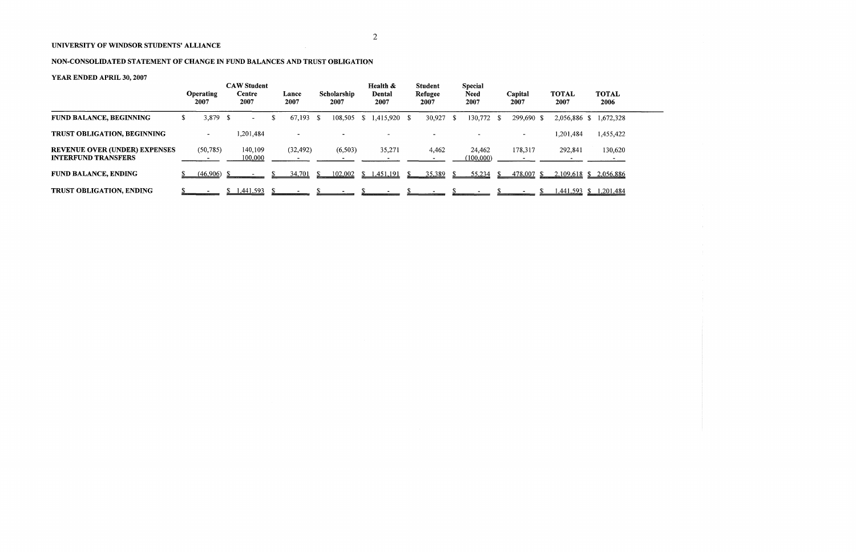# NON-CONSOLIDATED STATEMENT OF CHANGE IN FUND BALANCES AND TRUST OBLIGATION

# YEAR ENDED APRIL 30, 2007

|                                                                    |     | <b>Operating</b><br>2007 |    | <b>CAW Student</b><br>Centre<br>2007 |   | Lance<br>2007 |      | Scholarship<br>2007 | Health &<br>Dental<br>2007 | <b>Student</b><br>Refugee<br>2007 |      | <b>Special</b><br><b>Need</b><br>2007 | Capital<br>2007 | <b>TOTAL</b><br>2007 | <b>TOTAL</b><br>2006 |
|--------------------------------------------------------------------|-----|--------------------------|----|--------------------------------------|---|---------------|------|---------------------|----------------------------|-----------------------------------|------|---------------------------------------|-----------------|----------------------|----------------------|
| <b>FUND BALANCE, BEGINNING</b>                                     | Эħ. | 3,879                    | -S | $\blacksquare$                       | ъ | 67,193        | - S  | 108,505             | $$1,415,920$ \, \$         | 30,927                            | - \$ | 130,772 \$                            | 299,690 \$      | 2,056,886            | ,672,328             |
| TRUST OBLIGATION, BEGINNING                                        |     | $\blacksquare$           |    | ,201,484                             |   |               |      |                     |                            |                                   |      |                                       |                 | 1,201,484            | 1,455,422            |
| <b>REVENUE OVER (UNDER) EXPENSES</b><br><b>INTERFUND TRANSFERS</b> |     | (50, 785)                |    | 140,109<br>100,000                   |   | (32, 492)     |      | (6,503)             | 35,271                     | 4,462                             |      | 24,462<br>(100,000)                   | 178,317         | 292,841              | 130,620              |
| <b>FUND BALANCE, ENDING</b>                                        |     | (46,906)                 |    |                                      |   | 34.701        | -SS- | 102,002             | \$1,451,191                | 35,389                            |      | 55,234                                | 478,007 \$      | $2,109,618$ \$       | 2,056,886            |
| <b>TRUST OBLIGATION, ENDING</b>                                    |     |                          |    | 1,441,593                            |   |               |      |                     |                            |                                   |      |                                       |                 | 1,441,593            | ,201,484             |

 $\hat{\mathcal{L}}_{\text{max}}$ 

 $\overline{\phantom{0}}$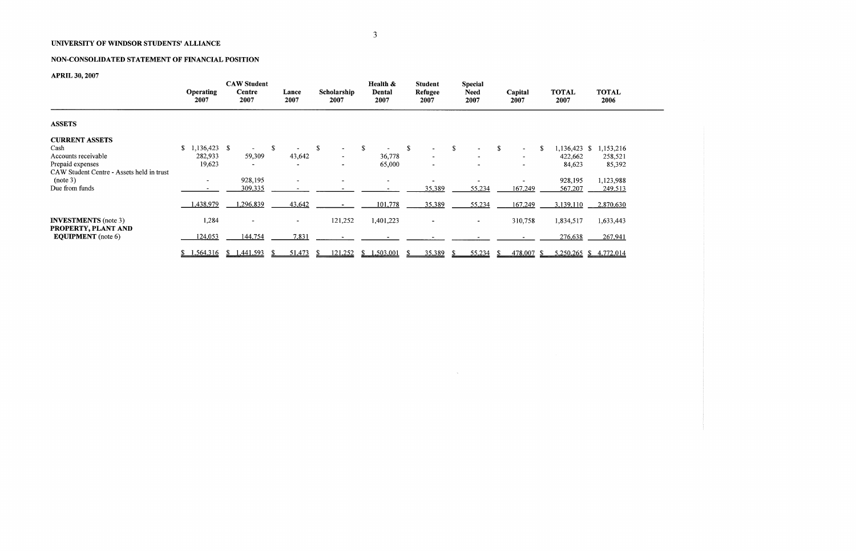# NON-CONSOLIDATED STATEMENT OF FINANCIAL POSITION

# APRIL 30,2007

|                                                  | <b>Operating</b><br>2007 | <b>CAW Student</b><br>Centre<br>2007 | Lance<br>2007            | Scholarship<br>2007 | Health &<br>Dental<br>2007 | <b>Student</b><br>Refugee<br>2007 | <b>Special</b><br><b>Need</b><br>2007 | Capital<br>2007          | <b>TOTAL</b><br>2007 | <b>TOTAL</b><br>2006   |
|--------------------------------------------------|--------------------------|--------------------------------------|--------------------------|---------------------|----------------------------|-----------------------------------|---------------------------------------|--------------------------|----------------------|------------------------|
| <b>ASSETS</b>                                    |                          |                                      |                          |                     |                            |                                   |                                       |                          |                      |                        |
| <b>CURRENT ASSETS</b>                            |                          |                                      |                          |                     |                            |                                   |                                       |                          |                      |                        |
| Cash                                             | ,136,423<br>\$           | -S                                   | S                        |                     | -S                         | S.                                | \$                                    | \$<br>$\blacksquare$     | 1,136,423 \$         | 1,153,216              |
| Accounts receivable                              | 282,933                  | 59,309                               | 43,642                   |                     | 36,778                     |                                   |                                       | $\overline{\phantom{a}}$ | 422,662              | 258,521                |
| Prepaid expenses                                 | 19,623                   |                                      |                          |                     | 65,000                     |                                   |                                       |                          | 84,623               | 85,392                 |
| CAW Student Centre - Assets held in trust        |                          |                                      |                          |                     |                            |                                   |                                       |                          |                      |                        |
| (note 3)                                         | $\overline{\phantom{a}}$ | 928,195                              | $\overline{\phantom{a}}$ |                     | ۰.                         |                                   |                                       |                          | 928,195              | 1,123,988              |
| Due from funds                                   |                          | 309,335                              |                          |                     |                            | 35,389                            | 55,234                                | 167,249                  | 567,207              | 249,513                |
|                                                  | 438,979                  | ,296,839                             | 43,642                   |                     | 101,778                    | 35,389                            | 55,234                                | 167,249                  | 3,139,110            | 2,870,630              |
| <b>INVESTMENTS</b> (note 3)                      | 1,284                    | $\sim$                               | $\blacksquare$           | 121,252             | 1,401,223                  |                                   | $\overline{\phantom{a}}$              | 310,758                  | 1,834,517            | 1,633,443              |
| PROPERTY, PLANT AND<br><b>EQUIPMENT</b> (note 6) | 124,053                  | 144,754                              | 7,831                    |                     |                            |                                   |                                       |                          | 276,638              | 267,941                |
|                                                  | \$1,564,316              | \$1,441,593                          | 51,473                   | 121,252<br>Ж.       | 1,503,001<br><sup>\$</sup> | 35,389                            | 55,234                                | 478,007 \$               |                      | 5,250,265 \$ 4,772,014 |

 $\sim 10^{11}$ 

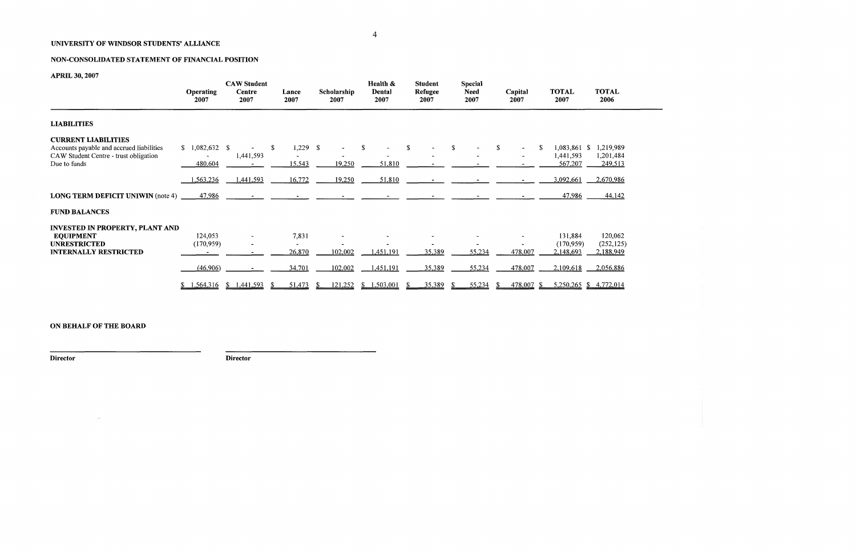## NON-CONSOLIDATED STATEMENT OF FINANCIAL POSITION

# APRIL 30,2007

|                                                                                                                                 | <b>Operating</b><br>2007        | <b>CAW Student</b><br>Centre<br>2007 | Lance<br>2007              | Scholarship<br>2007 | Health &<br>Dental<br>2007 | <b>Student</b><br>Refugee<br>2007 | <b>Special</b><br><b>Need</b><br>2007 | Capital<br>2007                                     | <b>TOTAL</b><br>2007                 | <b>TOTAL</b><br>2006              |
|---------------------------------------------------------------------------------------------------------------------------------|---------------------------------|--------------------------------------|----------------------------|---------------------|----------------------------|-----------------------------------|---------------------------------------|-----------------------------------------------------|--------------------------------------|-----------------------------------|
| <b>LIABILITIES</b>                                                                                                              |                                 |                                      |                            |                     |                            |                                   |                                       |                                                     |                                      |                                   |
| <b>CURRENT LIABILITIES</b><br>Accounts payable and accrued liabilities<br>CAW Student Centre - trust obligation<br>Due to funds | $1,082,632$ \$<br>S.<br>480,604 | 1,441,593                            | $1,229$ \$<br>\$<br>15,543 | 19,250              | S<br>51,810                | \$                                |                                       | $\mathcal{S}$<br>$\sim$<br>$\overline{\phantom{a}}$ | 1,083,861 \$<br>1,441,593<br>567,207 | 1,219,989<br>1,201,484<br>249,513 |
|                                                                                                                                 | ,563,236                        | 1,441,593                            | 16,772                     | 19,250              | 51,810                     |                                   |                                       |                                                     | 3,092,661                            | 2,670,986                         |
| <b>LONG TERM DEFICIT UNIWIN (note 4)</b>                                                                                        | 47,986                          |                                      |                            |                     |                            |                                   |                                       |                                                     | 47,986                               | 44,142                            |
| <b>FUND BALANCES</b>                                                                                                            |                                 |                                      |                            |                     |                            |                                   |                                       |                                                     |                                      |                                   |
| <b>INVESTED IN PROPERTY, PLANT AND</b><br><b>EQUIPMENT</b>                                                                      | 124,053                         |                                      | 7,831                      |                     |                            |                                   |                                       |                                                     | 131,884                              | 120,062                           |
| <b>UNRESTRICTED</b><br><b>INTERNALLY RESTRICTED</b>                                                                             | (170, 959)                      |                                      | 26,870                     | 102,002             | 1,451,191                  | 35,389                            | 55,234                                | 478,007                                             | (170, 959)<br>2,148,693              | (252, 125)<br>2,188,949           |
|                                                                                                                                 | (46,906)                        |                                      | 34,701                     | 102,002             | 1,451,191                  | 35,389                            | 55,234                                | 478,007                                             | 2,109,618                            | 2,056,886                         |
|                                                                                                                                 | \$1,564,316                     | 1,441,593<br>S.                      | 51,473                     | 121,252             | 1,503,001<br>S.            | 35,389                            | 55,234                                | 478,007                                             |                                      | $5,250,265$ \$ 4,772,014          |

# ON BEHALF OF THE BOARD

 $\sim 10^{11}$ 

Director Director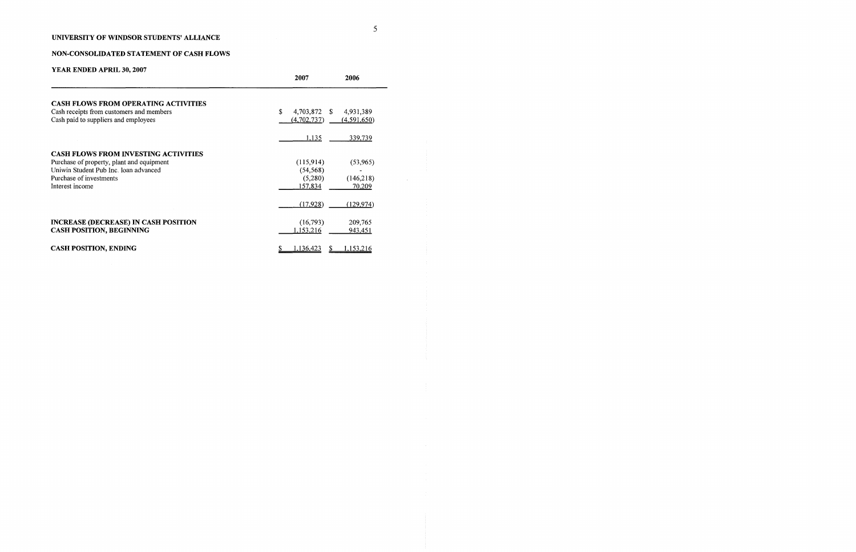# NON-CONSOLIDATED STATEMENT OF CASH FLOWS

| YEAR ENDED APRIL 30, 2007                                                                                                                                                       | 2007<br>2006                                 |                                  |
|---------------------------------------------------------------------------------------------------------------------------------------------------------------------------------|----------------------------------------------|----------------------------------|
| <b>CASH FLOWS FROM OPERATING ACTIVITIES</b><br>Cash receipts from customers and members<br>Cash paid to suppliers and employees                                                 | \$<br>4,703,872 \$<br>(4,702,737)            | 4,931,389<br>(4,591,650)         |
|                                                                                                                                                                                 | 1,135                                        | 339,739                          |
| <b>CASH FLOWS FROM INVESTING ACTIVITIES</b><br>Purchase of property, plant and equipment<br>Uniwin Student Pub Inc. Joan advanced<br>Purchase of investments<br>Interest income | (115,914)<br>(54, 568)<br>(5,280)<br>157,834 | (53, 965)<br>(146,218)<br>70,209 |
|                                                                                                                                                                                 | (17,928)                                     | (129, 974)                       |
| <b>INCREASE (DECREASE) IN CASH POSITION</b><br><b>CASH POSITION, BEGINNING</b>                                                                                                  | (16,793)<br>1,153,216                        | 209,765<br>943,451               |
| <b>CASH POSITION, ENDING</b>                                                                                                                                                    | 1,136,423                                    | 1,153,216                        |

 $\sim 10^{-1}$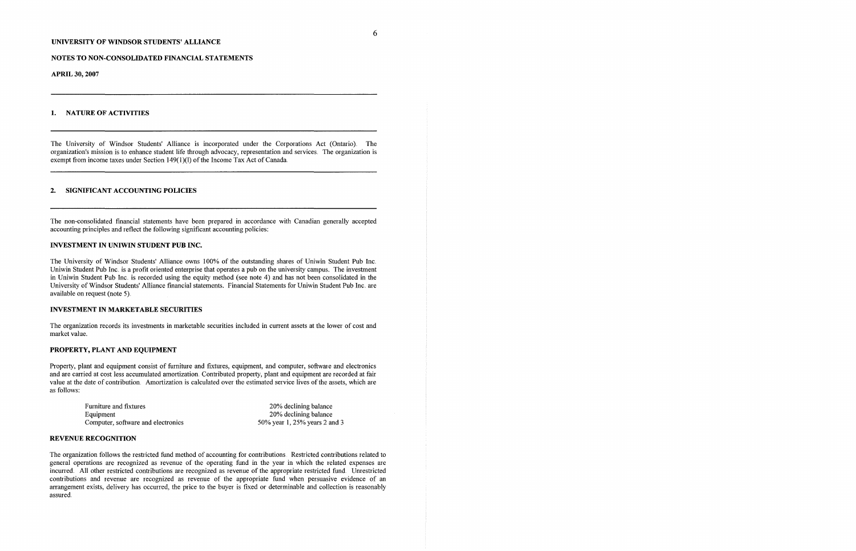The University of Windsor Students' Alliance is incorporated under the Corporations Act (Ontario) The organization's mission is to enhance student life through advocacy, representation and services The organization is exempt from income taxes under Section 149(1)(1) of the Income Tax Act of Canada.

#### NOTES TO NON-CONSOLIDATED FINANCIAL STATEMENTS

APRIL 30,2007

## 1. NATURE OF ACTIVITIES

## 2. SIGNIFICANT ACCOUNTING POLICIES

The non-consolidated financial statements have been prepared in accordance with Canadian generally accepted accounting principles and reflect the following significant accounting policies:

## INVESTMENT IN UNIWIN STUDENT PUB INC.

The University of Windsor Students' Alliance owns 100% of the outstanding shares of Uniwin Student Pub Inc Uniwin Student Pub Inc is a profit oriented enterprise that operates a pub on the university campus. The investment in Uniwin Student Pub Inc is recorded using the equity method (see note 4) and has not been consolidated in the University of Windsor Students' Alliance financial statements. Financial Statements for Uniwin Student Pub me are available on request (note 5)

### INVESTMENT IN MARKETABLE SECURITIES

The organization records its investments in marketable securities included in current assets at the lower of cost and market value.

### PROPERTY, PLANT AND EQUIPMENT

Property, plant and equipment consist of furniture and fixtures, equipment, and computer, software and electronics and are carried at cost less accumulated amortization Contributed property, plant and equipment are recorded at fair value at the date of contribution Amortization is calculated over the estimated service lives of the assets, which are as follows:

| Furniture and fixtures             | 20% declining balance         |
|------------------------------------|-------------------------------|
| Equipment                          | 20% declining balance         |
| Computer, software and electronics | 50% year 1, 25% years 2 and 3 |

#### REVENUE RECOGNITION

The organization follows the restricted fund method of accounting for contributions Restricted contributions related to general operations are recognized as revenue of the operating fund in the year in which the related expenses are incurred. All other restricted contributions are recognized as revenue of the appropriate restricted fund. Unrestricted contributions and revenue are recognized as revenue of the appropriate fund when persuasive evidence of an arrangement exists, delivery has occurred, the price to the buyer is fixed or determinable and collection is reasonably assured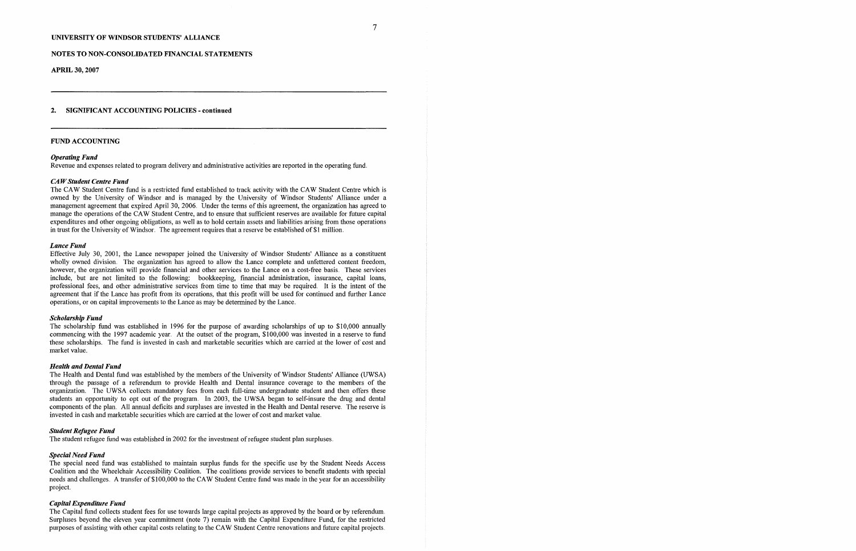APRIL 30,2007

#### 2. SIGNIFICANT ACCOUNTING POLICIES - continued

#### FUND ACCOUNTING

The CAW Student Centre fund is a restricted fund established to track activity with the CAW Student Centre which is owned by the University of Windsor and is managed by the University of Windsor Students' Alliance under a management agreement that expired April 30, 2006 Under the terms of this agreement, the organization has agreed to manage the operations of the CAW Student Centre, and to ensure that sufficient reserves are available for future capital expenditures and other ongoing obligations, as well as to hold certain assets and liabilities arising from those operations in trust for the University of Windsor. The agreement requires that a reserve be established of \$1 million.

#### Operating Fund

Revenue and expenses related to program delivery and administrative activities are reported in the operating fund

#### CAW Student Centre Fund

#### Lance Fund

The Health and Dental fund was established by the members of the University of Windsor Students' Alliance (UWSA) through the passage of a referendum to provide Health and Dental insurance coverage to the members of the organization. The UWSA collects mandatory fees fiom each full-time undergraduate student and then offers these students an opportunity to opt out of the program In 2003, the UWSA began to self-insure the drug and dental components of the plan. All annual deficits and surpluses are invested in the Health and Dental reserve. The reserve is invested in cash and marketable securities which are carried at the lower of cost and market value.

Effective July 30, 2001, the Lance newspaper joined the University of Windsor Students' Alliance as a constituent wholly owned division. The organization has agreed to allow the Lance complete and unfettered content freedom, however, the organization will provide financial and other services to the Lance on a cost-free basis These services include, but are not limited to the following: bookkeeping, financial administration, insurance, capital loans, professional fees, and other administrative services from time to time that may be required. It is the intent of the agreement that if the Lance has profit from its operations, that this profit will be used for continued and further Lance operations, or on capital improvements to the Lance as may be determined by the Lance.

#### Scholarship Fund

The scholarship fund was established in 1996 for the purpose of awarding scholarships of up to \$10,000 annually commencing with the 1997 academic year At the outset of the program, \$100,000 was invested in a reserve to fund these scholarships. The fund is invested in cash and marketable securities which are carried at the lower of cost and market value.

#### Health and Dental Fund

#### Student Refugee Fund

The student refugee fund was established in 2002 for the investment of refugee student plan surpluses

#### Special Need Fund

The special need fund was established to maintain surplus funds for the specific use by the Student Needs Access Coalition and the Wheelchair Accessibility Coalition. The coalitions provide services to benefit students with special needs and challenges. A transfer of \$100,000 to the CAW Student Centre fund was made in the year for an accessibility project.

#### Capital Expenditure Fund

The Capital fund collects student fees for use towards large capital projects as approved by the board or by referendum Surpluses beyond the eleven year commitment (note 7) remain with the Capital Expenditure Fund, for the restricted purposes of assisting with other capital costs relating to the CAW Student Centre renovations and future capital projects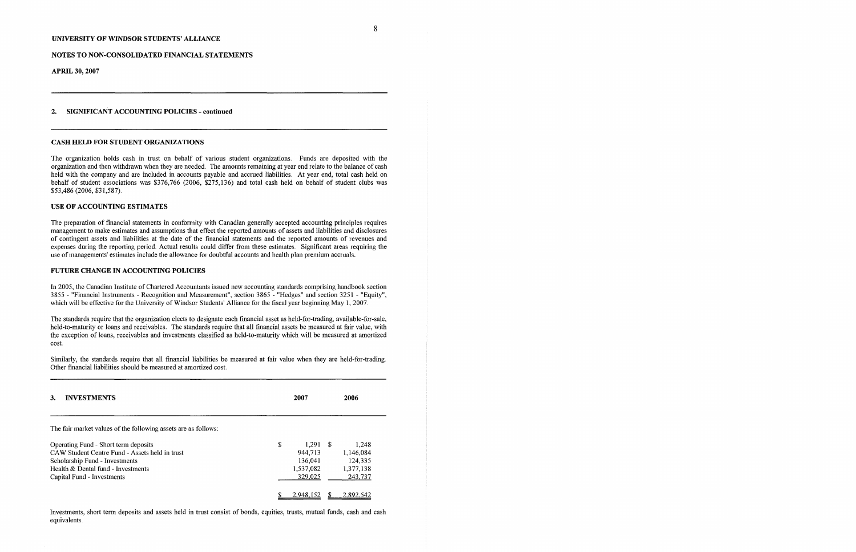#### NOTES TO NON-CONSOLIDATED FINANCIAL STATEMENTS

APRIL 30, 2007

#### 2. SIGNIFICANT ACCOUNTING POLICIES - continued

#### CASH HELD FOR STUDENT ORGANIZATIONS

The organization holds cash in trust on behalf of various student organizations. Funds are deposited with the organization and then withdrawn when they are needed. The amounts remaining at year end relate to the balance of cash held with the company and are included in accounts payable and accrued liabilities At year end, total cash held on behalf of student associations was \$376,766 (2006, \$275,136) and total cash held on behalf of student clubs was \$53,486 (2006, \$31,587)

In 2005, the Canadian Institute of Chartered Accountants issued new accounting standards comprising handbook section 3855 - "Financial Instruments - Recognition and Measurement", section 3865 - "Hedges" and section 3251 - "Equity", which will be effective for the University of Windsor Students' Alliance for the fiscal year beginning May 1, 2007.

#### USE OF ACCOUNTING ESTIMATES

The preparation of financial statements in conformity with Canadian generally accepted accounting principles requires management to make estimates and assumptions that effect the reported amounts of assets and liabilities and disclosures of contingent assets and liabilities at the date of the financial statements and the reported amounts of revenues and expenses during the reporting period. Actual results could differ from these estimates. Significant areas requiring the use of managements' estimates include the allowance for doubtful accounts and health plan premium accruals.

#### FUTURE CHANGE IN ACCOUNTING POLICIES

The standards require that the organization elects to designate each financial asset as held-for-trading, available-for-sale, held-to-maturity or loans and receivables. The standards require that all financial assets be measured at fair value, with the exception of loans, receivables and investments classified as held-to-maturity which will be measured at amortized cost

Similarly, the standards require that all financial liabilities be measured at fair value when they are held-for-trading Other financial liabilities should be measured at amortized cost

| <b>INVESTMENTS</b><br>3.                                                                                                                                                                     | 2007                                                           | 2006                                                  |
|----------------------------------------------------------------------------------------------------------------------------------------------------------------------------------------------|----------------------------------------------------------------|-------------------------------------------------------|
| The fair market values of the following assets are as follows:                                                                                                                               |                                                                |                                                       |
| Operating Fund - Short term deposits<br>CAW Student Centre Fund - Assets held in trust<br>Scholarship Fund - Investments<br>Health & Dental fund - Investments<br>Capital Fund - Investments | \$<br>$1,291$ \$<br>944,713<br>136,041<br>1,537,082<br>329,025 | 1,248<br>1,146,084<br>124,335<br>1,377,138<br>243,737 |
|                                                                                                                                                                                              | 2.948.152                                                      | 2.892.542                                             |

Investments, short term deposits and assets held in trust consist of bonds, equities, trusts, mutual funds, cash and cash equivalents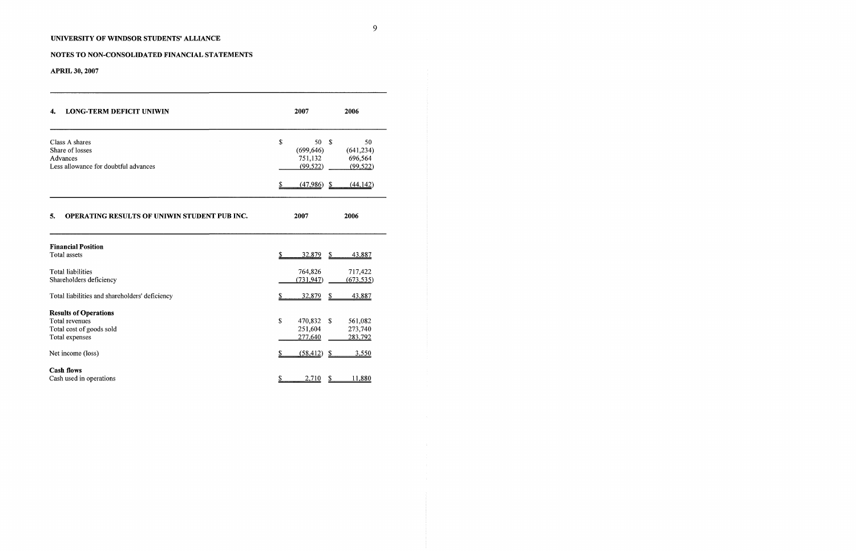# NOTES TO NON-CONSOLIDATED FINANCIAL STATEMENTS

APRIL 30, 2007

| <b>LONG-TERM DEFICIT UNIWIN</b><br>4.              | 2007           | 2006                             |
|----------------------------------------------------|----------------|----------------------------------|
| Class A shares                                     | \$             | 50<br>S.<br>50                   |
| Share of losses                                    | (699, 646)     | (641, 234)                       |
| Advances<br>Less allowance for doubtful advances   | 751,132        | 696,564                          |
|                                                    | (99, 522)      | (99, 522)                        |
|                                                    | \$<br>(47,986) | (44, 142)<br>-\$                 |
| OPERATING RESULTS OF UNIWIN STUDENT PUB INC.<br>5. | 2007           | 2006                             |
| <b>Financial Position</b>                          |                |                                  |
| <b>Total assets</b>                                | \$<br>32,879   | 43,887<br>\$                     |
| Total liabilities                                  | 764,826        | 717,422                          |
| Shareholders deficiency                            | (731, 947)     | (673, 535)                       |
| Total liabilities and shareholders' deficiency     | 32,879         | $\mathbf{\mathcal{S}}$<br>43,887 |
| <b>Results of Operations</b>                       |                |                                  |
| Total revenues                                     | \$<br>470,832  | \$<br>561,082                    |
| Total cost of goods sold                           | 251,604        | 273,740                          |
| Total expenses                                     | 277,640        | 283,792                          |
| Net income (loss)                                  | (58, 412)      | 3,550<br>-\$                     |
| <b>Cash flows</b>                                  |                |                                  |
| Cash used in operations                            | 2,710<br>Ֆ     | 11,880<br>\$                     |

 $\sim 4$  .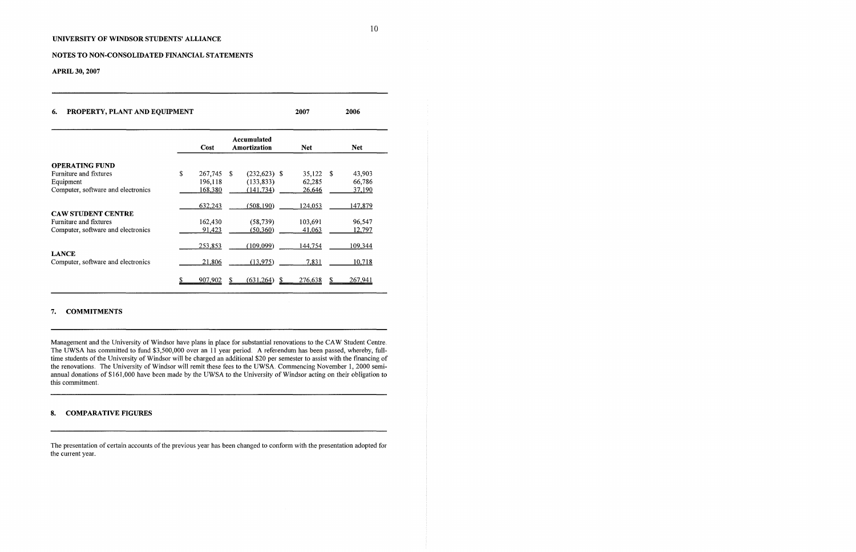## NOTES TO NON-CONSOLIDATED FINANCIAL STATEMENTS

APRIL 30, 2007

## 6. PROPERTY, PLANT AND EQUIPMENT 2007 2006

|                                                    | Cost          |    | Accumulated<br>Amortization | <b>Net</b>     |      | <b>Net</b> |
|----------------------------------------------------|---------------|----|-----------------------------|----------------|------|------------|
|                                                    |               |    |                             |                |      |            |
| <b>OPERATING FUND</b>                              |               |    |                             |                |      |            |
| Furniture and fixtures                             | \$<br>267,745 | -S | $(232, 623)$ \$             | 35,122         | - \$ | 43,903     |
| Equipment                                          | 196,118       |    | (133, 833)                  | 62,285         |      | 66,786     |
| Computer, software and electronics                 | 168,380       |    | (141, 734)                  | 26,646         |      | 37,190     |
|                                                    | 632,243       |    | (508, 190)                  | 124,053        |      | 147,879    |
| <b>CAW STUDENT CENTRE</b>                          |               |    |                             |                |      |            |
| Furniture and fixtures                             | 162,430       |    | (58, 739)                   | 103,691        |      | 96,547     |
| Computer, software and electronics                 | 91,423        |    | (50, 360)                   | 41,063         |      | 12,797     |
|                                                    | 253,853       |    | (109,099)                   | <u>144,754</u> |      | 109,344    |
| <b>LANCE</b><br>Computer, software and electronics | 21,806        |    | (13, 975)                   | <u>7,831</u>   |      | 10,718     |
|                                                    | 907,902       |    | (631,264)                   | 276,638        |      | 267,941    |

### 7. COMMITMENTS

Management and the University of Windsor have plans in place for substantial renovations to the CAW Student Centre The UWSA has committed to fund \$3,500,000 over an 11 year period. A referendum has been passed, whereby, fulltime students of the University of Windsor will be charged an additional \$20 per semester to assist with the financing of the renovations. The University of Windsor will remit these fees to the UWSA. Commencing November 1, 2000 semiannual donations of \$161,000 have been made by the UWSA to the University of Windsor acting on their obligation to this commitment

## 8. COMPARATIVE FIGURES

The presentation of certain accounts of the previous year has been changed to conform with the presentation adopted for the current year.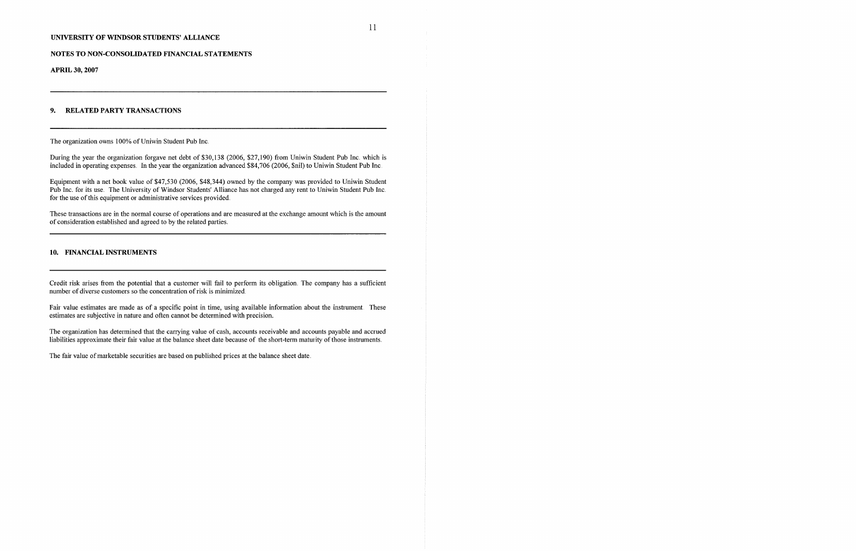#### NOTES TO NON-CONSOLIDATED FINANCIAL STATEMENTS

APRIL 30,2007

## 9. RELATED PARTY TRANSACTIONS

The organization owns 100% of Uniwin Student Pub Inc.

During the year the organization forgave net debt of \$30,138 (2006, \$27,190) from Uniwin Student Pub Inc. which is included in operating expenses In the year the organization advanced \$84,706 (2006, \$nil) to Uniwin Student Pub Inc

Equipment with a net book value of \$47,530 (2006, \$48,344) owned by the company was provided to Uniwin Student Pub Inc. for its use. The University of Windsor Students' Alliance has not charged any rent to Uniwin Student Pub Inc. for the use of this equipment or administrative services provided.

Fair value estimates are made as of a specific point in time, using available information about the instrument. These estimates are subjective in nature and often cannot be determined with precision.

The organization has determined that the carrying value of cash, accounts receivable and accounts payable and accrued liabilities approximate their fair value at the balance sheet date because of the short-term maturity of those instruments.

These transactions are in the normal course of operations and are measured at the exchange amount which is the amount of consideration established and agreed to by the related parties.

## 10. FINANCIAL INSTRUMENTS

Credit risk arises from the potential that a customer will fail to perform its obligation. The company has a sufficient number of diverse customers so the concentration of risk is minimized

The fair value of marketable securities are based on published prices at the balance sheet date,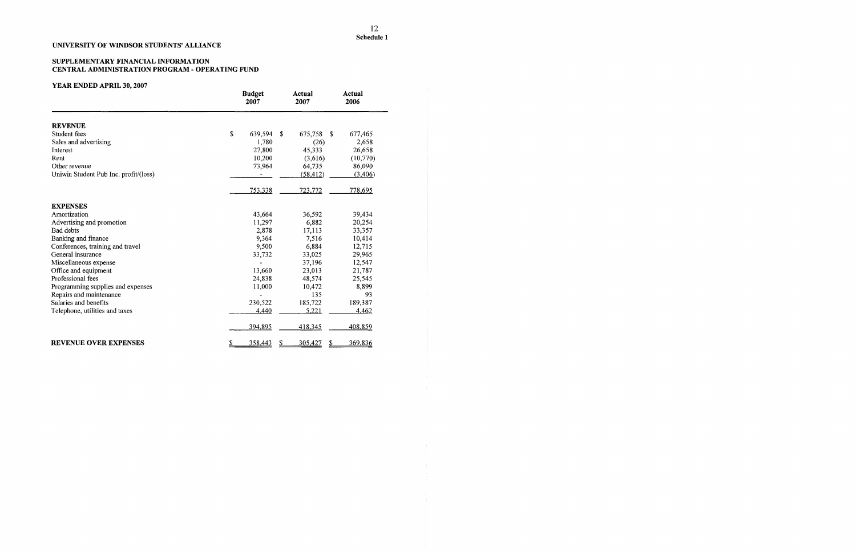## SUPPLEMENTARY FINANCIAL INFORMATION CENTRAL ADMINISTRATION PROGRAM - OPERATING FUND

|                                       | <b>Budget</b><br>2007 |    | <b>Actual</b><br>2007 |     | Actual<br>2006 |
|---------------------------------------|-----------------------|----|-----------------------|-----|----------------|
| <b>REVENUE</b>                        |                       |    |                       |     |                |
| Student fees                          | \$<br>639,594         | S. | 675,758               | -\$ | 677,465        |
| Sales and advertising                 | 1,780                 |    | (26)                  |     | 2,658          |
| Interest                              | 27,800                |    | 45,333                |     | 26,658         |
| Rent                                  | 10,200                |    | (3,616)               |     | (10,770)       |
| Other revenue                         | 73,964                |    | 64,735                |     | 86,090         |
| Uniwin Student Pub Inc. profit/(loss) |                       |    | (58, 412)             |     | (3,406)        |
|                                       | 753,338               |    | 723,772               |     | 778,695        |
| <b>EXPENSES</b>                       |                       |    |                       |     |                |
| Amortization                          | 43,664                |    | 36,592                |     | 39,434         |
| Advertising and promotion             | 11,297                |    | 6,882                 |     | 20,254         |
| <b>Bad debts</b>                      | 2,878                 |    | 17,113                |     | 33,357         |
| Banking and finance                   | 9,364                 |    | 7,516                 |     | 10,414         |
| Conferences, training and travel      | 9,500                 |    | 6,884                 |     | 12,715         |
| General insurance                     | 33,732                |    | 33,025                |     | 29,965         |
| Miscellaneous expense                 |                       |    | 37,196                |     | 12,547         |
| Office and equipment                  | 13,660                |    | 23,013                |     | 21,787         |
| Professional fees                     | 24,838                |    | 48,574                |     | 25,545         |
| Programming supplies and expenses     | 11,000                |    | 10,472                |     | 8,899          |
| Repairs and maintenance               |                       |    | 135                   |     | 93             |
| Salaries and benefits                 | 230,522               |    | 185,722               |     | 189,387        |
| Telephone, utilities and taxes        | 4,440                 |    | 5,221                 |     | 4,462          |
|                                       | 394,895               |    | 418,345               |     | 408,859        |
| <b>REVENUE OVER EXPENSES</b>          | 358,443               | S  | 305,427               |     | 369,836        |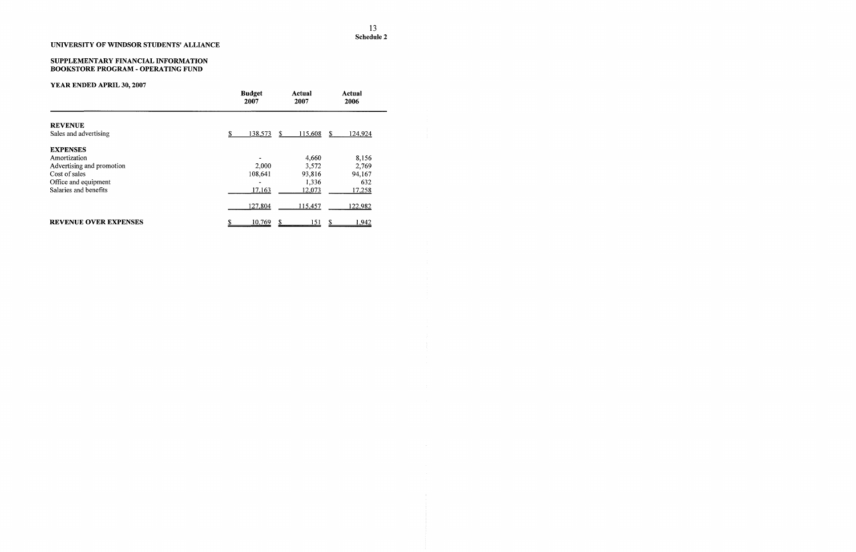# YEAR ENDED APRIL 30,2007

## UNIVERSITY OF WINDSOR STUDENTS' ALLIANCE

#### SUPPLEMENTARY FINANCIAL INFORMA BOOKSTORE PROGRAM - OPERATING F **ATION** TJND

| Sales and advertising        | <b>Budget</b><br>2007 | Actual<br>2007     | Actual<br>2006           |  |
|------------------------------|-----------------------|--------------------|--------------------------|--|
| <b>REVENUE</b>               |                       |                    |                          |  |
|                              | S.                    | 138,573<br>S.      | 115,608<br>124,924<br>\$ |  |
| <b>EXPENSES</b>              |                       |                    |                          |  |
| Amortization                 |                       |                    | 4,660<br>8,156           |  |
| Advertising and promotion    |                       | 2,000              | 2,769<br>3,572           |  |
| Cost of sales                |                       | 108,641            | 94,167<br>93,816         |  |
| Office and equipment         |                       |                    | 632<br>1,336             |  |
| Salaries and benefits        |                       | 17,163             | 12,073<br>17,258         |  |
|                              |                       | 127,804<br>115,457 | 122,982                  |  |
| <b>REVENUE OVER EXPENSES</b> | \$                    | 10,769             | 151<br>\$<br>1,942       |  |

 $\sim$   $\sim$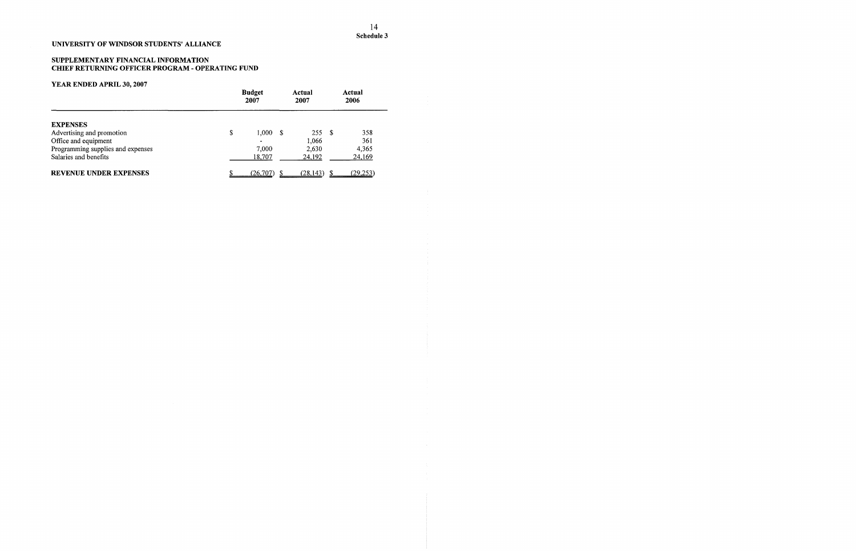# YEAR ENDED APRIL 30,2007

## SUPPLEMENTARY FINANCIAL INFORMATION CHIEF RETURNING OFFICER PROGRAM - OPERATING FUND

|                                   | <b>Budget</b><br>2007 |          |    | Actual<br>2007 | Actual<br>2006 |
|-----------------------------------|-----------------------|----------|----|----------------|----------------|
| <b>EXPENSES</b>                   |                       |          |    |                |                |
| Advertising and promotion         | S                     | 1.000    | -8 | 255S           | 358            |
| Office and equipment              |                       |          |    | 1,066          | 361            |
| Programming supplies and expenses |                       | 7,000    |    | 2,630          | 4,365          |
| Salaries and benefits             |                       | 18,707   |    | 24,192         | 24,169         |
| <b>REVENUE UNDER EXPENSES</b>     |                       | (26,707) |    | (28, 143)      | (29, 253)      |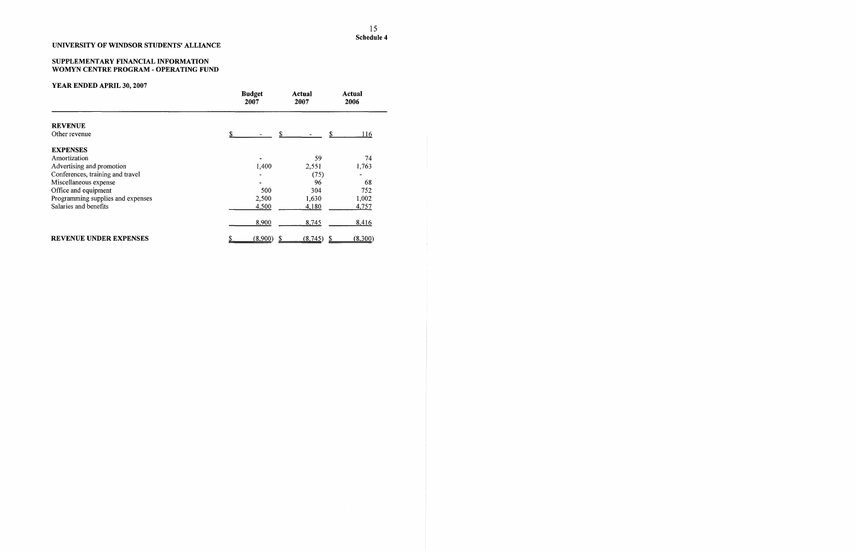#### SUPPLEMENTARY FINANCIAL INFORMA WOMYN CENTRE PROGRAM - OPERATIN TION **NG FUND**

|                                   | <b>Budget</b><br>2007 | Actual<br>2007 | Actual<br>2006 |
|-----------------------------------|-----------------------|----------------|----------------|
| <b>REVENUE</b>                    |                       |                |                |
| Other revenue                     |                       |                | \$<br>116      |
| <b>EXPENSES</b>                   |                       |                |                |
| Amortization                      |                       | 59             | 74             |
| Advertising and promotion         | 1,400                 | 2,551          | 1,763          |
| Conferences, training and travel  |                       | (75)           |                |
| Miscellaneous expense             |                       | 96             | 68             |
| Office and equipment              |                       | 500<br>304     | 752            |
| Programming supplies and expenses | 2,500                 | 1,630          | 1,002          |
| Salaries and benefits             | 4,500                 | 4,180          | 4,757          |
|                                   | 8,900                 | 8,745          | 8,416          |
| <b>REVENUE UNDER EXPENSES</b>     | (8,900)               | (8,745)        | (8,300)<br>S   |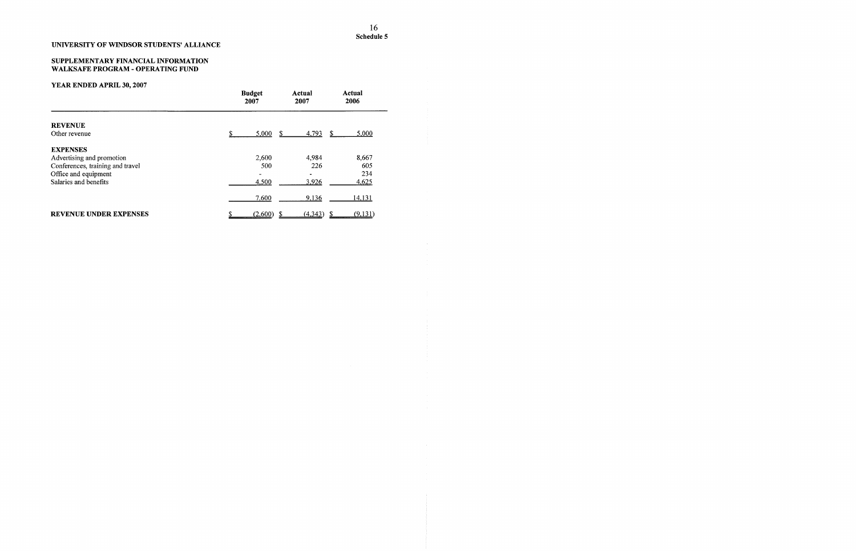# YEAR ENDED APRIL 30,2007

## UNIVERSITY OF WINDSOR STUDENTS' A LLIANCE

#### SUPPLEMENTARY FINANCIAL INFORMA WALKSAFE PROGRAM - OPERATING FU **TION** ND

|                                  | <b>Budget</b><br>2007 | Actual<br>2007 | Actual<br>2006 |
|----------------------------------|-----------------------|----------------|----------------|
| <b>REVENUE</b>                   |                       |                |                |
| Other revenue                    | 5,000                 | 4,793<br>-S    | -S<br>5,000    |
| <b>EXPENSES</b>                  |                       |                |                |
| Advertising and promotion        | 2,600                 | 4,984          | 8,667          |
| Conferences, training and travel | 500                   | 226            | 605            |
| Office and equipment             | $\rightarrow$         |                | 234            |
| Salaries and benefits            | 4,500                 | 3,926          | 4,625          |
|                                  | 7,600                 | 9,136          | <u>14,131</u>  |
| <b>REVENUE UNDER EXPENSES</b>    | (2,600)               | (4,343)        | (9, 131)       |

 $\sim 10^{-1}$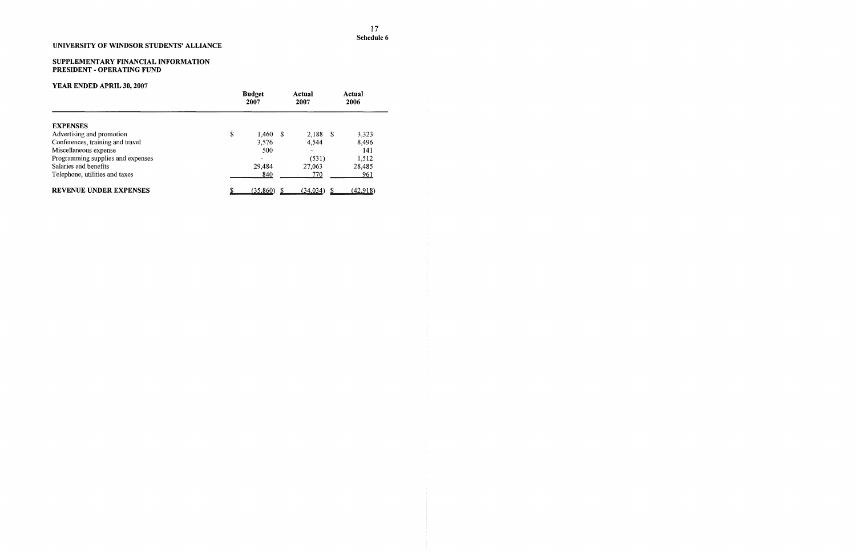#### SUPPLEMENTARY FINANCIAL INFORMA PRESIDENT - OPERATING FUND **TION**

# YEAR ENDED APRIL 30,2007

|                                   | <b>Budget</b><br>2007 |  | Actual<br>2007 |  | Actual<br>2006 |  |
|-----------------------------------|-----------------------|--|----------------|--|----------------|--|
| <b>EXPENSES</b>                   |                       |  |                |  |                |  |
| Advertising and promotion         | \$<br>$1,460$ \$      |  | $2,188$ \$     |  | 3,323          |  |
| Conferences, training and travel  | 3.576                 |  | 4,544          |  | 8,496          |  |
| Miscellaneous expense             | 500                   |  |                |  | 141            |  |
| Programming supplies and expenses |                       |  | (531)          |  | 1,512          |  |
| Salaries and benefits             | 29,484                |  | 27,063         |  | 28,485         |  |
| Telephone, utilities and taxes    | 840                   |  | 770            |  | 961            |  |
| <b>REVENUE UNDER EXPENSES</b>     | (35,860)              |  | (34, 034)      |  | (42.918)       |  |

 $\sim 20$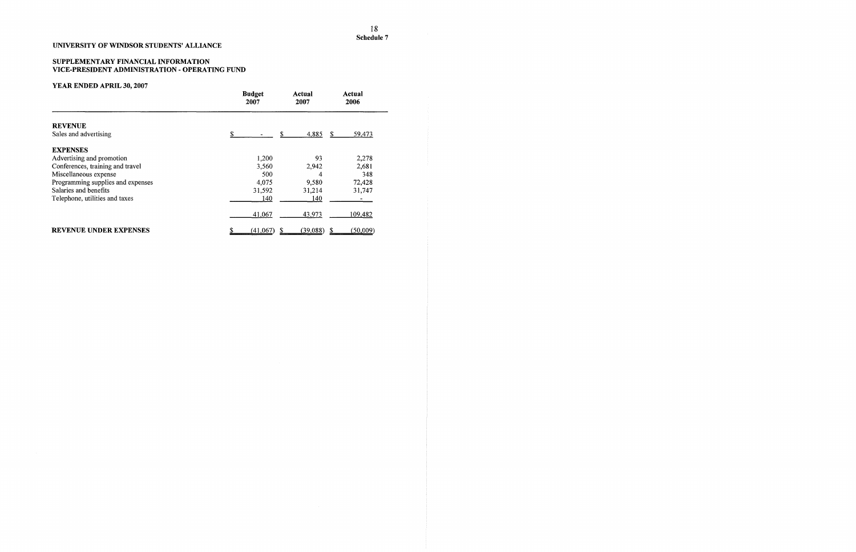#### SUPPLEMENTARY FINANCIAL INFORMA VICE-PRESIDENT ADMINISTRATION - OP TION •ERATING FUND

# YEAR ENDED APRIL 30, 2007

|                                   | <b>Budget</b><br>2007 | Actual<br>2007 | Actual<br>2006 |
|-----------------------------------|-----------------------|----------------|----------------|
| <b>REVENUE</b>                    |                       |                |                |
| Sales and advertising             | S<br>S                | 4,885          | 59,473<br>S    |
| <b>EXPENSES</b>                   |                       |                |                |
| Advertising and promotion         | 1,200                 | 93             | 2,278          |
| Conferences, training and travel  | 3,560                 | 2,942          | 2,681          |
| Miscellaneous expense             | 500                   | 4              | 348            |
| Programming supplies and expenses | 4,075                 | 9,580          | 72,428         |
| Salaries and benefits             | 31,592                | 31,214         | 31,747         |
| Telephone, utilities and taxes    | 140                   | 140            |                |
|                                   | 41,067                | 43,973         | 109,482        |
| <b>REVENUE UNDER EXPENSES</b>     | (41,067)              | (39,088)       | (50,009)       |

## UNIVERSITY OF WINDSOR STUDENTS' ALLIANCE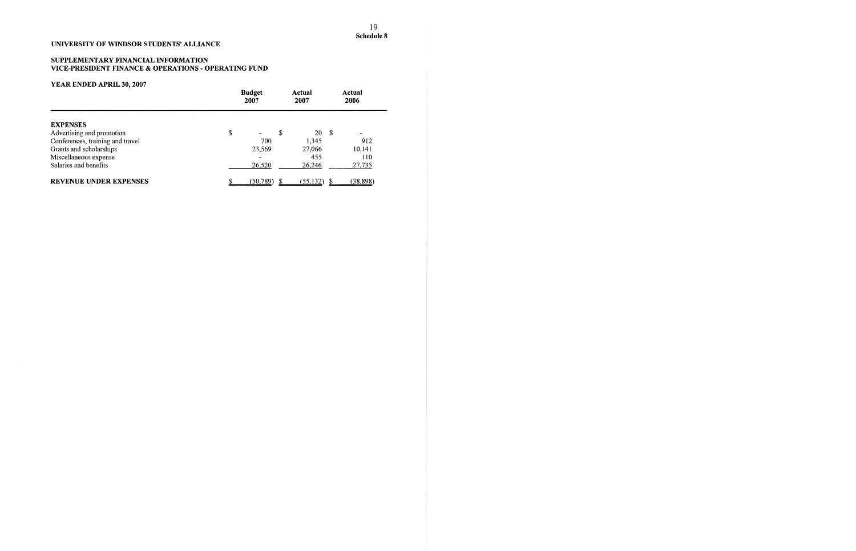## SUPPLEMENTARY FINANCIAL INFORMATION VICE-PRESIDENT FINANCE & OPERATIONS - OPERATING FUND

|                                  |    | <b>Budget</b><br>2007 |    | Actual<br>2007 |      | Actual<br>2006 |
|----------------------------------|----|-----------------------|----|----------------|------|----------------|
| <b>EXPENSES</b>                  |    |                       |    |                |      |                |
| Advertising and promotion        | \$ |                       | \$ | 20             | - \$ | $\sim$         |
| Conferences, training and travel |    | 700                   |    | 1,345          |      | 912            |
| Grants and scholarships          |    | 23,569                |    | 27,066         |      | 10,141         |
| Miscellaneous expense            |    |                       |    | 455            |      | 110            |
| Salaries and benefits            |    | 26,520                |    | 26,246         |      | <u>27,735</u>  |
| <b>REVENUE UNDER EXPENSES</b>    |    | (50, 789)             |    | (55, 132)      |      | (38,898)       |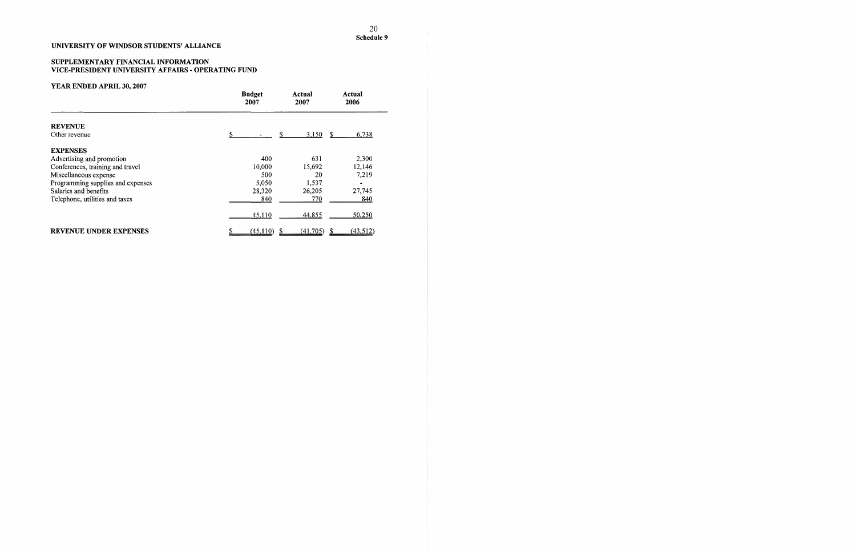#### SUPPLEMENTARY FINANCIAL INFORMA VICE-PRESIDENT UNIVERSITY AFFAIRS TION - OPERATING FUND

# YEAR ENDED APRIL 30, 2007

## UNIVERSITY OF WINDSOR STUDENTS' ALLIANCE

| 1 <b>Di Mario 100 100 100 100 100</b> 1 | <b>Budget</b><br>2007 |           | Actual<br>2007 |     | Actual<br>2006 |
|-----------------------------------------|-----------------------|-----------|----------------|-----|----------------|
| <b>REVENUE</b>                          |                       |           |                |     |                |
| Other revenue                           | S.                    |           | \$<br>3,150    | \$. | 6,738          |
| <b>EXPENSES</b>                         |                       |           |                |     |                |
| Advertising and promotion               |                       | 400       | 631            |     | 2,300          |
| Conferences, training and travel        |                       | 10,000    | 15,692         |     | 12,146         |
| Miscellaneous expense                   |                       | 500       | 20             |     | 7,219          |
| Programming supplies and expenses       |                       | 5,050     | 1,537          |     |                |
| Salaries and benefits                   |                       | 28,320    | 26,205         |     | 27,745         |
| Telephone, utilities and taxes          |                       | 840       | 770            |     | 840            |
|                                         |                       | 45,110    | 44,855         |     | 50,250         |
| <b>REVENUE UNDER EXPENSES</b>           |                       | (45, 110) | (41,705)       |     | (43, 512)      |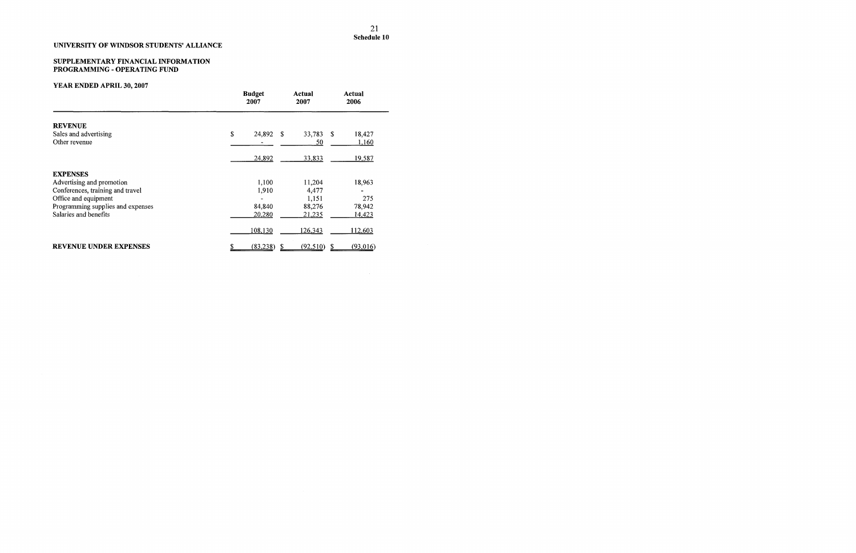## SUPPLEMENTARY FINANCIAL INFORMA TION PROGRAMMING - OPERATING FUND

# YEAR ENDED APRIL 30,2007

|                                   | <b>Budget</b><br>2007 | Actual<br>2007 | <b>Actual</b><br>2006 |
|-----------------------------------|-----------------------|----------------|-----------------------|
| <b>REVENUE</b>                    |                       |                |                       |
| Sales and advertising             | \$<br>24,892 \$       | 33,783         | - \$<br>18,427        |
| Other revenue                     |                       | 50             | <u>1,160</u>          |
|                                   | 24,892                | 33,833         | 19,587                |
| <b>EXPENSES</b>                   |                       |                |                       |
| Advertising and promotion         | 1,100                 | 11,204         | 18,963                |
| Conferences, training and travel  | 1,910                 | 4,477          |                       |
| Office and equipment              |                       | 1,151          | 275                   |
| Programming supplies and expenses | 84,840                | 88,276         | 78,942                |
| Salaries and benefits             | 20,280                | 21,235         | 14,423                |
|                                   | 108,130               | 126,343        | 112,603               |
| <b>REVENUE UNDER EXPENSES</b>     | (83,238)              | (92,510)       | (93,016)              |

## UNIVERSITY OF WINDSOR STUDENTS' ALLIANCE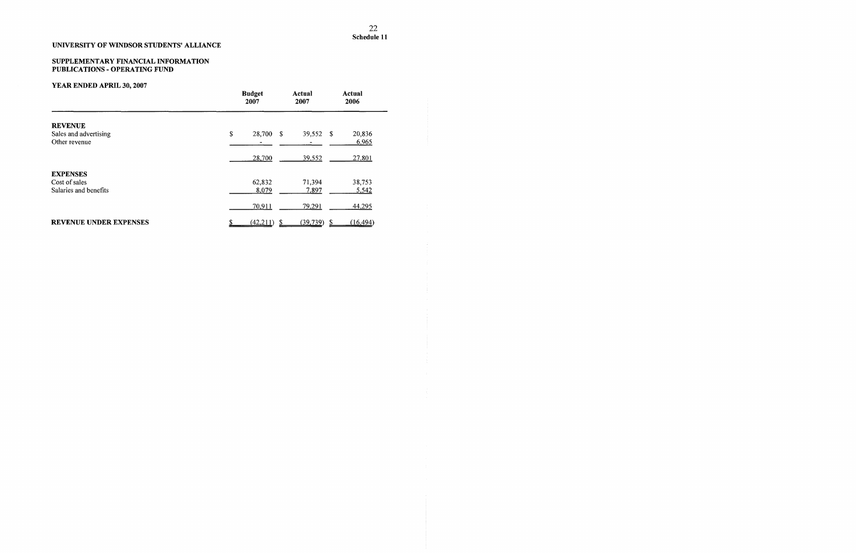$\sim 400$ 

## UNIVERSITY OF WINDSOR STUDENTS' ALLIANCE

## SUPPLEMENTARY FINANCIAL INFORMATION PUBLICATIONS - OPERATING FUND

|                                                           | <b>Budget</b><br>2007 | Actual<br>2007         | Actual<br>2006  |
|-----------------------------------------------------------|-----------------------|------------------------|-----------------|
| <b>REVENUE</b><br>Sales and advertising<br>Other revenue  | \$<br>28,700<br>-S    | 39,552 \$              | 20,836<br>6,965 |
|                                                           | 28,700                | 39,552                 | 27,801          |
| <b>EXPENSES</b><br>Cost of sales<br>Salaries and benefits | 62,832<br>8,079       | 71,394<br><u>7,897</u> | 38,753<br>5,542 |
|                                                           | 70,911                | 79,291                 | 44,295          |
| <b>REVENUE UNDER EXPENSES</b>                             | (42,211)              | (39, 739)              | (16, 494)<br>-S |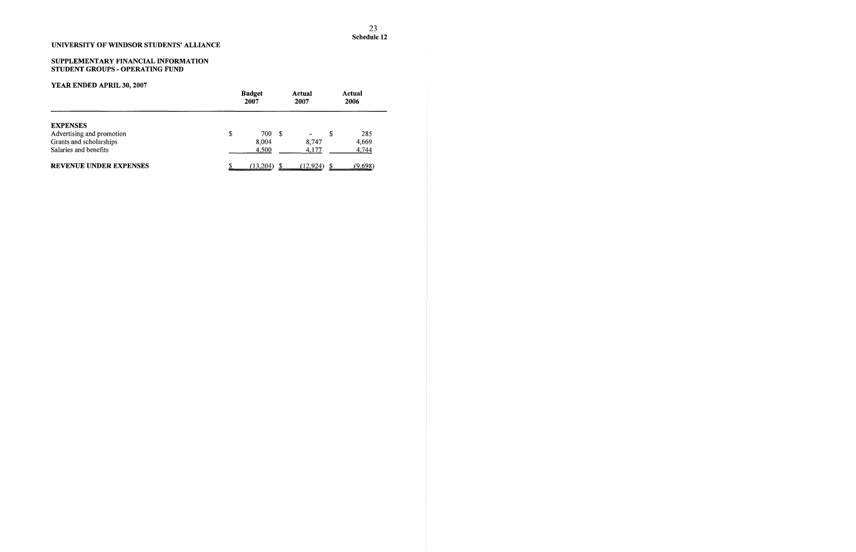## SUPPLEMENTARY FINANCIAL INFORMATION STUDENT GROUPS - OPERATING FUND

|                           | <b>Budget</b><br>2007 |          |      | Actual<br>2007           |    | Actual<br>2006 |
|---------------------------|-----------------------|----------|------|--------------------------|----|----------------|
| <b>EXPENSES</b>           |                       |          |      |                          |    |                |
| Advertising and promotion | S                     | 700      | - \$ | $\overline{\phantom{a}}$ | \$ | 285            |
| Grants and scholarships   |                       | 8,004    |      | 8.747                    |    | 4,669          |
| Salaries and benefits     |                       | 4,500    |      | 4,177                    |    | 4,744          |
| REVENUE UNDER EXPENSES    |                       | (13,204) |      | (12,924)                 |    | <u>(9,698)</u> |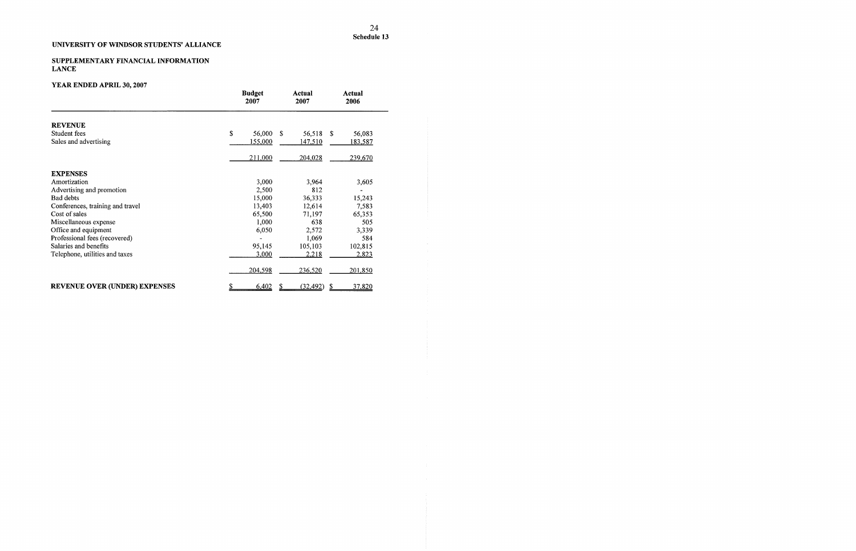# YEAR ENDED APRIL 30,2007

#### SUPPLEMENTARY FINANCIAL INFORMATIC **LANCE** )N

|                                      | <b>Budget</b><br>2007 | Actual<br>2007          | Actual<br>2006 |
|--------------------------------------|-----------------------|-------------------------|----------------|
| <b>REVENUE</b>                       |                       |                         |                |
| Student fees                         | \$<br>56,000          | <sup>\$</sup><br>56,518 | \$<br>56,083   |
| Sales and advertising                | 155,000               | 147,510                 | <u>183,587</u> |
|                                      | 211,000               | 204,028                 | 239,670        |
| <b>EXPENSES</b>                      |                       |                         |                |
| Amortization                         | 3,000                 | 3,964                   | 3,605          |
| Advertising and promotion            | 2,500                 | 812                     |                |
| Bad debts                            | 15,000                | 36,333                  | 15,243         |
| Conferences, training and travel     | 13,403                | 12,614                  | 7,583          |
| Cost of sales                        | 65,500                | 71,197                  | 65,353         |
| Miscellaneous expense                | 1,000                 | 638                     | 505            |
| Office and equipment                 | 6,050                 | 2,572                   | 3,339          |
| Professional fees (recovered)        |                       | 1,069                   | 584            |
| Salaries and benefits                | 95,145                | 105,103                 | 102,815        |
| Telephone, utilities and taxes       | 3,000                 | 2,218                   | 2,823          |
|                                      | 204,598               | 236,520                 | 201,850        |
| <b>REVENUE OVER (UNDER) EXPENSES</b> | 6,402                 | (32, 492)               | 37,820<br>\$   |

# UNIVERSITY OF WINDSOR STUDENTS' ALLIANCE